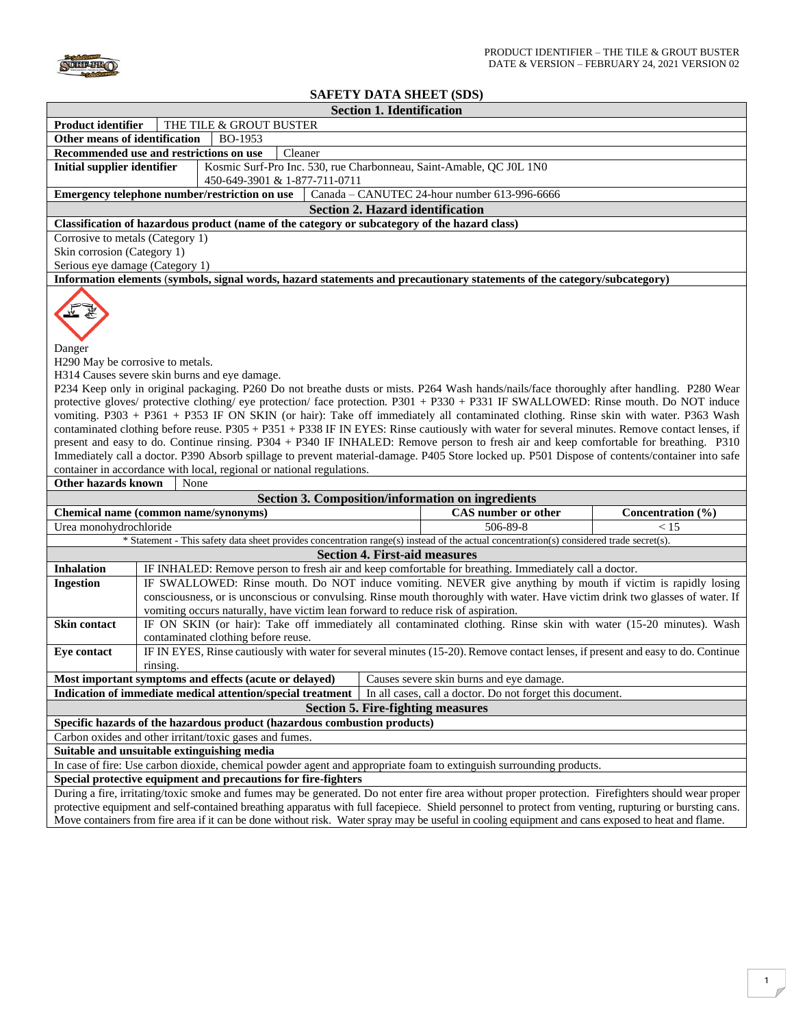

## **SAFETY DATA SHEET (SDS)**

|                                                                                                                                                                                                                                                                                        |                                                                                                                                                |  | OAFETT DATA ƏHEET (ƏDƏ <i>)</i>                          |                   |
|----------------------------------------------------------------------------------------------------------------------------------------------------------------------------------------------------------------------------------------------------------------------------------------|------------------------------------------------------------------------------------------------------------------------------------------------|--|----------------------------------------------------------|-------------------|
| <b>Section 1. Identification</b>                                                                                                                                                                                                                                                       |                                                                                                                                                |  |                                                          |                   |
| THE TILE & GROUT BUSTER<br><b>Product identifier</b>                                                                                                                                                                                                                                   |                                                                                                                                                |  |                                                          |                   |
| Other means of identification<br>BO-1953                                                                                                                                                                                                                                               |                                                                                                                                                |  |                                                          |                   |
|                                                                                                                                                                                                                                                                                        | Recommended use and restrictions on use<br>Cleaner                                                                                             |  |                                                          |                   |
| <b>Initial supplier identifier</b>                                                                                                                                                                                                                                                     | Kosmic Surf-Pro Inc. 530, rue Charbonneau, Saint-Amable, QC J0L 1N0                                                                            |  |                                                          |                   |
|                                                                                                                                                                                                                                                                                        | 450-649-3901 & 1-877-711-0711                                                                                                                  |  |                                                          |                   |
|                                                                                                                                                                                                                                                                                        | Emergency telephone number/restriction on use                                                                                                  |  | Canada - CANUTEC 24-hour number 613-996-6666             |                   |
| <b>Section 2. Hazard identification</b>                                                                                                                                                                                                                                                |                                                                                                                                                |  |                                                          |                   |
| Classification of hazardous product (name of the category or subcategory of the hazard class)                                                                                                                                                                                          |                                                                                                                                                |  |                                                          |                   |
| Corrosive to metals (Category 1)                                                                                                                                                                                                                                                       |                                                                                                                                                |  |                                                          |                   |
| Skin corrosion (Category 1)                                                                                                                                                                                                                                                            |                                                                                                                                                |  |                                                          |                   |
| Serious eye damage (Category 1)                                                                                                                                                                                                                                                        |                                                                                                                                                |  |                                                          |                   |
| Information elements (symbols, signal words, hazard statements and precautionary statements of the category/subcategory)                                                                                                                                                               |                                                                                                                                                |  |                                                          |                   |
|                                                                                                                                                                                                                                                                                        |                                                                                                                                                |  |                                                          |                   |
|                                                                                                                                                                                                                                                                                        |                                                                                                                                                |  |                                                          |                   |
|                                                                                                                                                                                                                                                                                        |                                                                                                                                                |  |                                                          |                   |
| Danger                                                                                                                                                                                                                                                                                 |                                                                                                                                                |  |                                                          |                   |
|                                                                                                                                                                                                                                                                                        |                                                                                                                                                |  |                                                          |                   |
| H <sub>290</sub> May be corrosive to metals.<br>H314 Causes severe skin burns and eye damage.                                                                                                                                                                                          |                                                                                                                                                |  |                                                          |                   |
| P234 Keep only in original packaging. P260 Do not breathe dusts or mists. P264 Wash hands/nails/face thoroughly after handling. P280 Wear                                                                                                                                              |                                                                                                                                                |  |                                                          |                   |
|                                                                                                                                                                                                                                                                                        | protective gloves/ protective clothing/ eye protection/ face protection. P301 + P330 + P331 IF SWALLOWED: Rinse mouth. Do NOT induce           |  |                                                          |                   |
|                                                                                                                                                                                                                                                                                        | vomiting. P303 + P361 + P353 IF ON SKIN (or hair): Take off immediately all contaminated clothing. Rinse skin with water. P363 Wash            |  |                                                          |                   |
|                                                                                                                                                                                                                                                                                        |                                                                                                                                                |  |                                                          |                   |
| contaminated clothing before reuse. P305 + P351 + P338 IF IN EYES: Rinse cautiously with water for several minutes. Remove contact lenses, if<br>present and easy to do. Continue rinsing. P304 + P340 IF INHALED: Remove person to fresh air and keep comfortable for breathing. P310 |                                                                                                                                                |  |                                                          |                   |
|                                                                                                                                                                                                                                                                                        |                                                                                                                                                |  |                                                          |                   |
|                                                                                                                                                                                                                                                                                        | Immediately call a doctor. P390 Absorb spillage to prevent material-damage. P405 Store locked up. P501 Dispose of contents/container into safe |  |                                                          |                   |
|                                                                                                                                                                                                                                                                                        | container in accordance with local, regional or national regulations.                                                                          |  |                                                          |                   |
| <b>Other hazards known</b>                                                                                                                                                                                                                                                             | None                                                                                                                                           |  |                                                          |                   |
|                                                                                                                                                                                                                                                                                        |                                                                                                                                                |  | <b>Section 3. Composition/information on ingredients</b> |                   |
|                                                                                                                                                                                                                                                                                        | Chemical name (common name/synonyms)                                                                                                           |  | <b>CAS</b> number or other                               | Concentration (%) |
| Urea monohydrochloride                                                                                                                                                                                                                                                                 |                                                                                                                                                |  | 506-89-8                                                 | < 15              |
|                                                                                                                                                                                                                                                                                        | * Statement - This safety data sheet provides concentration range(s) instead of the actual concentration(s) considered trade secret(s).        |  |                                                          |                   |
| <b>Section 4. First-aid measures</b>                                                                                                                                                                                                                                                   |                                                                                                                                                |  |                                                          |                   |
| <b>Inhalation</b>                                                                                                                                                                                                                                                                      | IF INHALED: Remove person to fresh air and keep comfortable for breathing. Immediately call a doctor.                                          |  |                                                          |                   |
| <b>Ingestion</b>                                                                                                                                                                                                                                                                       | IF SWALLOWED: Rinse mouth. Do NOT induce vomiting. NEVER give anything by mouth if victim is rapidly losing                                    |  |                                                          |                   |
|                                                                                                                                                                                                                                                                                        | consciousness, or is unconscious or convulsing. Rinse mouth thoroughly with water. Have victim drink two glasses of water. If                  |  |                                                          |                   |
|                                                                                                                                                                                                                                                                                        | vomiting occurs naturally, have victim lean forward to reduce risk of aspiration.                                                              |  |                                                          |                   |
| <b>Skin contact</b>                                                                                                                                                                                                                                                                    | IF ON SKIN (or hair): Take off immediately all contaminated clothing. Rinse skin with water (15-20 minutes). Wash                              |  |                                                          |                   |
|                                                                                                                                                                                                                                                                                        | contaminated clothing before reuse.                                                                                                            |  |                                                          |                   |
| Eye contact                                                                                                                                                                                                                                                                            | IF IN EYES, Rinse cautiously with water for several minutes (15-20). Remove contact lenses, if present and easy to do. Continue                |  |                                                          |                   |
|                                                                                                                                                                                                                                                                                        | rinsing.                                                                                                                                       |  |                                                          |                   |
| Most important symptoms and effects (acute or delayed)<br>Causes severe skin burns and eye damage.                                                                                                                                                                                     |                                                                                                                                                |  |                                                          |                   |
| Indication of immediate medical attention/special treatment<br>In all cases, call a doctor. Do not forget this document.                                                                                                                                                               |                                                                                                                                                |  |                                                          |                   |
| <b>Section 5. Fire-fighting measures</b>                                                                                                                                                                                                                                               |                                                                                                                                                |  |                                                          |                   |
| Specific hazards of the hazardous product (hazardous combustion products)                                                                                                                                                                                                              |                                                                                                                                                |  |                                                          |                   |
|                                                                                                                                                                                                                                                                                        |                                                                                                                                                |  |                                                          |                   |
|                                                                                                                                                                                                                                                                                        | Carbon oxides and other irritant/toxic gases and fumes.                                                                                        |  |                                                          |                   |

**Suitable and unsuitable extinguishing media**

In case of fire: Use carbon dioxide, chemical powder agent and appropriate foam to extinguish surrounding products.

**Special protective equipment and precautions for fire-fighters** 

During a fire, irritating/toxic smoke and fumes may be generated. Do not enter fire area without proper protection. Firefighters should wear proper protective equipment and self-contained breathing apparatus with full facepiece. Shield personnel to protect from venting, rupturing or bursting cans. Move containers from fire area if it can be done without risk. Water spray may be useful in cooling equipment and cans exposed to heat and flame.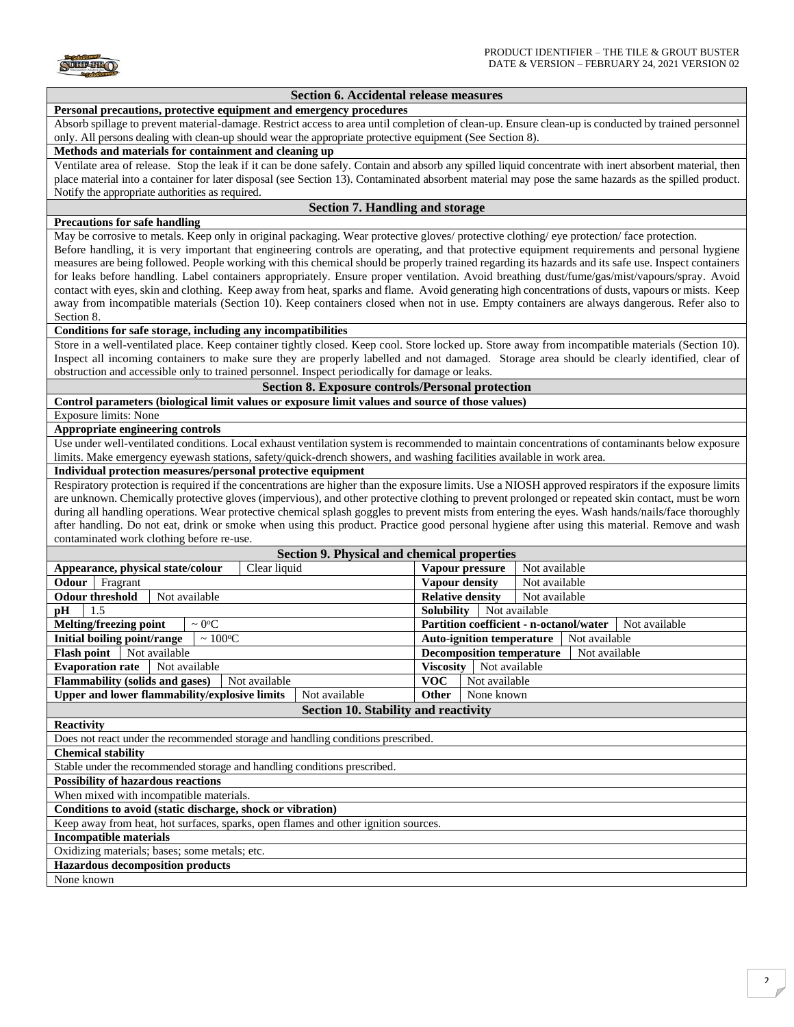

## **Section 6. Accidental release measures Personal precautions, protective equipment and emergency procedures** Absorb spillage to prevent material-damage. Restrict access to area until completion of clean-up. Ensure clean-up is conducted by trained personnel only. All persons dealing with clean-up should wear the appropriate protective equipment (See Section 8). **Methods and materials for containment and cleaning up** Ventilate area of release. Stop the leak if it can be done safely. Contain and absorb any spilled liquid concentrate with inert absorbent material, then place material into a container for later disposal (see Section 13). Contaminated absorbent material may pose the same hazards as the spilled product. Notify the appropriate authorities as required. **Section 7. Handling and storage Precautions for safe handling** May be corrosive to metals. Keep only in original packaging. Wear protective gloves/ protective clothing/ eye protection/ face protection. Before handling, it is very important that engineering controls are operating, and that protective equipment requirements and personal hygiene measures are being followed. People working with this chemical should be properly trained regarding its hazards and its safe use. Inspect containers for leaks before handling. Label containers appropriately. Ensure proper ventilation. Avoid breathing dust/fume/gas/mist/vapours/spray. Avoid contact with eyes, skin and clothing. Keep away from heat, sparks and flame. Avoid generating high concentrations of dusts, vapours or mists. Keep away from incompatible materials (Section 10). Keep containers closed when not in use. Empty containers are always dangerous. Refer also to Section 8. **Conditions for safe storage, including any incompatibilities** Store in a well-ventilated place. Keep container tightly closed. Keep cool. Store locked up. Store away from incompatible materials (Section 10). Inspect all incoming containers to make sure they are properly labelled and not damaged. Storage area should be clearly identified, clear of obstruction and accessible only to trained personnel. Inspect periodically for damage or leaks. **Section 8. Exposure controls/Personal protection Control parameters (biological limit values or exposure limit values and source of those values)**  Exposure limits: None **Appropriate engineering controls** Use under well-ventilated conditions. Local exhaust ventilation system is recommended to maintain concentrations of contaminants below exposure limits. Make emergency eyewash stations, safety/quick-drench showers, and washing facilities available in work area. **Individual protection measures/personal protective equipment** Respiratory protection is required if the concentrations are higher than the exposure limits. Use a NIOSH approved respirators if the exposure limits are unknown. Chemically protective gloves (impervious), and other protective clothing to prevent prolonged or repeated skin contact, must be worn during all handling operations. Wear protective chemical splash goggles to prevent mists from entering the eyes. Wash hands/nails/face thoroughly after handling. Do not eat, drink or smoke when using this product. Practice good personal hygiene after using this material. Remove and wash contaminated work clothing before re-use. **Section 9. Physical and chemical properties Appearance, physical state/colour** Clear liquid **Vapour pressure** Not available **Odour** Fragrant **Vapour density** Not available **Odour threshold** Not available **Relative density** Not available **pH** 1.5 **Solubility** Not available **Melting/freezing point**  $\sim 0^{\circ}\text{C}$  **Partition coefficient - n-octanol/water** Not available **Initial boiling point/range**  $\sim 100^{\circ}\text{C}$  **and**  $\sim 100^{\circ}\text{C}$  **and**  $\sim 100^{\circ}\text{C}$  **and**  $\sim 100^{\circ}\text{C}$  **and**  $\sim 100^{\circ}\text{C}$  **and**  $\sim 100^{\circ}\text{C}$  **and**  $\sim 100^{\circ}\text{C}$  **and**  $\sim 100^{\circ}\text{C}$  **and**  $\sim 100^{\circ}\text{C}$  **and \sim Flash point** Not available **Not available Decomposition temperature** Not available **Evaporation rate** Not available **Viscosity** Not available **Flammability (solids and gases)** Not available **VOC** Not available **Upper and lower flammability/explosive limits** Not available **Other** None known **Section 10. Stability and reactivity Reactivity** Does not react under the recommended storage and handling conditions prescribed. **Chemical stability** Stable under the recommended storage and handling conditions prescribed. **Possibility of hazardous reactions**  When mixed with incompatible materials. **Conditions to avoid (static discharge, shock or vibration)** Keep away from heat, hot surfaces, sparks, open flames and other ignition sources. **Incompatible materials** Oxidizing materials; bases; some metals; etc. **Hazardous decomposition products** None known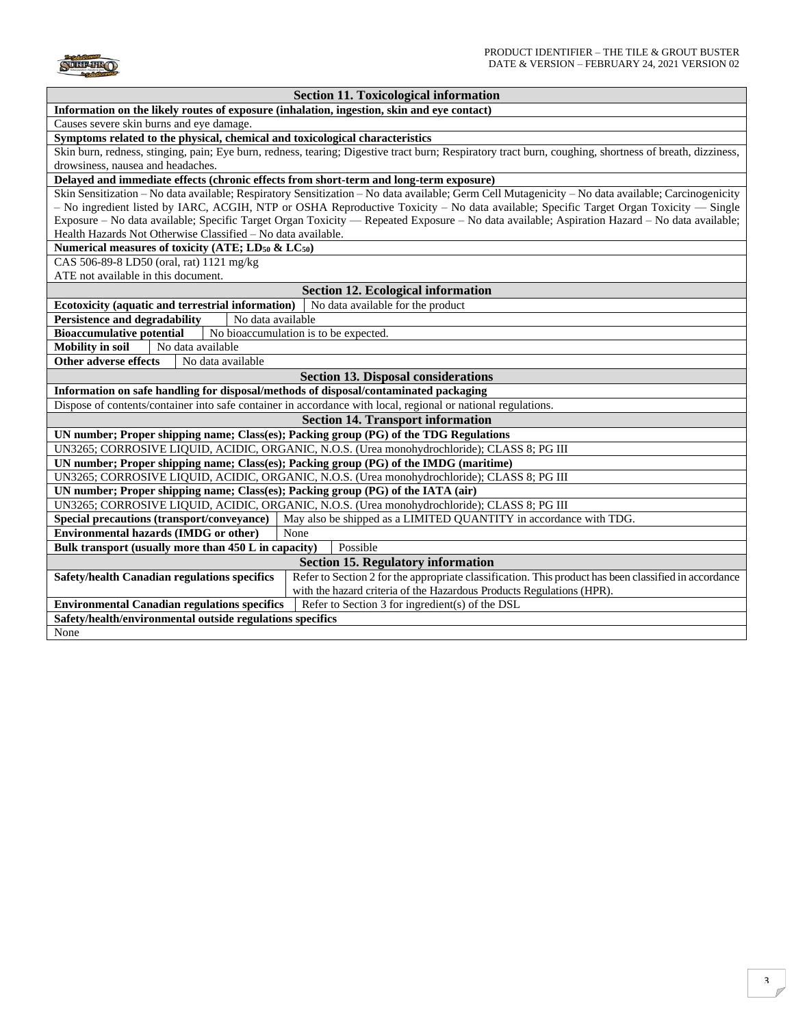

| <b>Section 11. Toxicological information</b>                                                                                                                                                                                                                                          |                                                                                                                                                         |  |  |  |
|---------------------------------------------------------------------------------------------------------------------------------------------------------------------------------------------------------------------------------------------------------------------------------------|---------------------------------------------------------------------------------------------------------------------------------------------------------|--|--|--|
| Information on the likely routes of exposure (inhalation, ingestion, skin and eye contact)                                                                                                                                                                                            |                                                                                                                                                         |  |  |  |
| Causes severe skin burns and eye damage.                                                                                                                                                                                                                                              |                                                                                                                                                         |  |  |  |
| Symptoms related to the physical, chemical and toxicological characteristics                                                                                                                                                                                                          |                                                                                                                                                         |  |  |  |
|                                                                                                                                                                                                                                                                                       | Skin burn, redness, stinging, pain; Eye burn, redness, tearing; Digestive tract burn; Respiratory tract burn, coughing, shortness of breath, dizziness, |  |  |  |
| drowsiness, nausea and headaches.                                                                                                                                                                                                                                                     |                                                                                                                                                         |  |  |  |
| Delayed and immediate effects (chronic effects from short-term and long-term exposure)                                                                                                                                                                                                |                                                                                                                                                         |  |  |  |
| Skin Sensitization - No data available; Respiratory Sensitization - No data available; Germ Cell Mutagenicity - No data available; Carcinogenicity                                                                                                                                    |                                                                                                                                                         |  |  |  |
| - No ingredient listed by IARC, ACGIH, NTP or OSHA Reproductive Toxicity - No data available; Specific Target Organ Toxicity - Single<br>Exposure – No data available; Specific Target Organ Toxicity — Repeated Exposure – No data available; Aspiration Hazard – No data available; |                                                                                                                                                         |  |  |  |
| Health Hazards Not Otherwise Classified - No data available.                                                                                                                                                                                                                          |                                                                                                                                                         |  |  |  |
| Numerical measures of toxicity (ATE; LD <sub>50</sub> & LC <sub>50</sub> )                                                                                                                                                                                                            |                                                                                                                                                         |  |  |  |
| CAS 506-89-8 LD50 (oral, rat) 1121 mg/kg                                                                                                                                                                                                                                              |                                                                                                                                                         |  |  |  |
| ATE not available in this document.                                                                                                                                                                                                                                                   |                                                                                                                                                         |  |  |  |
| <b>Section 12. Ecological information</b>                                                                                                                                                                                                                                             |                                                                                                                                                         |  |  |  |
| Ecotoxicity (aquatic and terrestrial information)                                                                                                                                                                                                                                     | No data available for the product                                                                                                                       |  |  |  |
| <b>Persistence and degradability</b><br>No data available                                                                                                                                                                                                                             |                                                                                                                                                         |  |  |  |
| <b>Bioaccumulative potential</b><br>No bioaccumulation is to be expected.                                                                                                                                                                                                             |                                                                                                                                                         |  |  |  |
| <b>Mobility</b> in soil<br>No data available                                                                                                                                                                                                                                          |                                                                                                                                                         |  |  |  |
| Other adverse effects<br>No data available                                                                                                                                                                                                                                            |                                                                                                                                                         |  |  |  |
| <b>Section 13. Disposal considerations</b>                                                                                                                                                                                                                                            |                                                                                                                                                         |  |  |  |
| Information on safe handling for disposal/methods of disposal/contaminated packaging                                                                                                                                                                                                  |                                                                                                                                                         |  |  |  |
| Dispose of contents/container into safe container in accordance with local, regional or national regulations.                                                                                                                                                                         |                                                                                                                                                         |  |  |  |
| <b>Section 14. Transport information</b>                                                                                                                                                                                                                                              |                                                                                                                                                         |  |  |  |
| UN number; Proper shipping name; Class(es); Packing group (PG) of the TDG Regulations                                                                                                                                                                                                 |                                                                                                                                                         |  |  |  |
| UN3265; CORROSIVE LIQUID, ACIDIC, ORGANIC, N.O.S. (Urea monohydrochloride); CLASS 8; PG III                                                                                                                                                                                           |                                                                                                                                                         |  |  |  |
| UN number; Proper shipping name; Class(es); Packing group (PG) of the IMDG (maritime)                                                                                                                                                                                                 |                                                                                                                                                         |  |  |  |
| UN3265; CORROSIVE LIQUID, ACIDIC, ORGANIC, N.O.S. (Urea monohydrochloride); CLASS 8; PG III                                                                                                                                                                                           |                                                                                                                                                         |  |  |  |
| UN number; Proper shipping name; Class(es); Packing group (PG) of the IATA (air)                                                                                                                                                                                                      |                                                                                                                                                         |  |  |  |
| UN3265; CORROSIVE LIQUID, ACIDIC, ORGANIC, N.O.S. (Urea monohydrochloride); CLASS 8; PG III                                                                                                                                                                                           |                                                                                                                                                         |  |  |  |
| Special precautions (transport/conveyance)<br>May also be shipped as a LIMITED QUANTITY in accordance with TDG.                                                                                                                                                                       |                                                                                                                                                         |  |  |  |
| <b>Environmental hazards (IMDG or other)</b><br>None                                                                                                                                                                                                                                  |                                                                                                                                                         |  |  |  |
| Possible<br>Bulk transport (usually more than 450 L in capacity)                                                                                                                                                                                                                      |                                                                                                                                                         |  |  |  |
| <b>Section 15. Regulatory information</b>                                                                                                                                                                                                                                             |                                                                                                                                                         |  |  |  |
| Safety/health Canadian regulations specifics                                                                                                                                                                                                                                          | Refer to Section 2 for the appropriate classification. This product has been classified in accordance                                                   |  |  |  |
|                                                                                                                                                                                                                                                                                       | with the hazard criteria of the Hazardous Products Regulations (HPR).                                                                                   |  |  |  |
| <b>Environmental Canadian regulations specifics</b><br>Refer to Section 3 for ingredient(s) of the DSL                                                                                                                                                                                |                                                                                                                                                         |  |  |  |
| Safety/health/environmental outside regulations specifics                                                                                                                                                                                                                             |                                                                                                                                                         |  |  |  |
| None                                                                                                                                                                                                                                                                                  |                                                                                                                                                         |  |  |  |